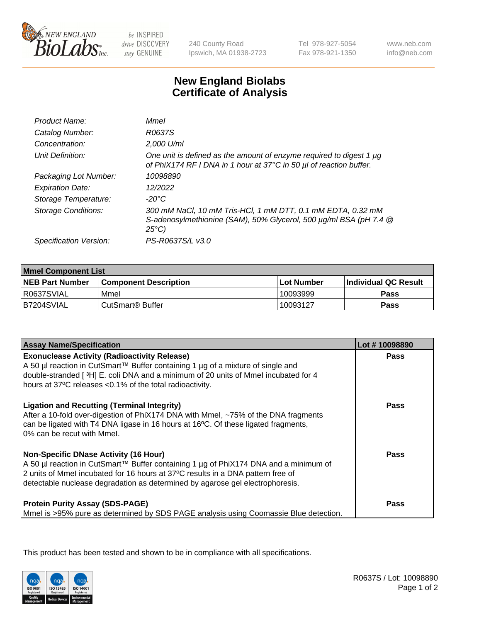

be INSPIRED drive DISCOVERY stay GENUINE

240 County Road Ipswich, MA 01938-2723 Tel 978-927-5054 Fax 978-921-1350

www.neb.com info@neb.com

## **New England Biolabs Certificate of Analysis**

| Product Name:              | Mmel                                                                                                                                                |
|----------------------------|-----------------------------------------------------------------------------------------------------------------------------------------------------|
| Catalog Number:            | R0637S                                                                                                                                              |
| Concentration:             | 2,000 U/ml                                                                                                                                          |
| Unit Definition:           | One unit is defined as the amount of enzyme required to digest 1 µg<br>of PhiX174 RF I DNA in 1 hour at 37°C in 50 µl of reaction buffer.           |
| Packaging Lot Number:      | 10098890                                                                                                                                            |
| <b>Expiration Date:</b>    | 12/2022                                                                                                                                             |
| Storage Temperature:       | -20°C                                                                                                                                               |
| <b>Storage Conditions:</b> | 300 mM NaCl, 10 mM Tris-HCl, 1 mM DTT, 0.1 mM EDTA, 0.32 mM<br>S-adenosylmethionine (SAM), 50% Glycerol, 500 µg/ml BSA (pH 7.4 @<br>$25^{\circ}C$ ) |
| Specification Version:     | PS-R0637S/L v3.0                                                                                                                                    |
|                            |                                                                                                                                                     |

| <b>Mmel Component List</b> |                         |              |                             |  |
|----------------------------|-------------------------|--------------|-----------------------------|--|
| <b>NEB Part Number</b>     | l Component Description | l Lot Number | <b>Individual QC Result</b> |  |
| R0637SVIAL                 | Mmel                    | 10093999     | Pass                        |  |
| IB7204SVIAL                | l CutSmart® Buffer      | 10093127     | Pass                        |  |

| <b>Assay Name/Specification</b>                                                                                                                                                                                                                                                                   | Lot #10098890 |
|---------------------------------------------------------------------------------------------------------------------------------------------------------------------------------------------------------------------------------------------------------------------------------------------------|---------------|
| <b>Exonuclease Activity (Radioactivity Release)</b><br>A 50 µl reaction in CutSmart™ Buffer containing 1 µg of a mixture of single and<br>double-stranded [3H] E. coli DNA and a minimum of 20 units of Mmel incubated for 4<br>hours at 37°C releases <0.1% of the total radioactivity.          | <b>Pass</b>   |
| <b>Ligation and Recutting (Terminal Integrity)</b><br>After a 10-fold over-digestion of PhiX174 DNA with Mmel, ~75% of the DNA fragments<br>can be ligated with T4 DNA ligase in 16 hours at 16 $\degree$ C. Of these ligated fragments,<br>10% can be recut with Mmel.                           | <b>Pass</b>   |
| Non-Specific DNase Activity (16 Hour)<br>A 50 µl reaction in CutSmart™ Buffer containing 1 µg of PhiX174 DNA and a minimum of<br>2 units of Mmel incubated for 16 hours at 37°C results in a DNA pattern free of<br>detectable nuclease degradation as determined by agarose gel electrophoresis. | <b>Pass</b>   |
| <b>Protein Purity Assay (SDS-PAGE)</b><br>Mmel is >95% pure as determined by SDS PAGE analysis using Coomassie Blue detection.                                                                                                                                                                    | <b>Pass</b>   |

This product has been tested and shown to be in compliance with all specifications.